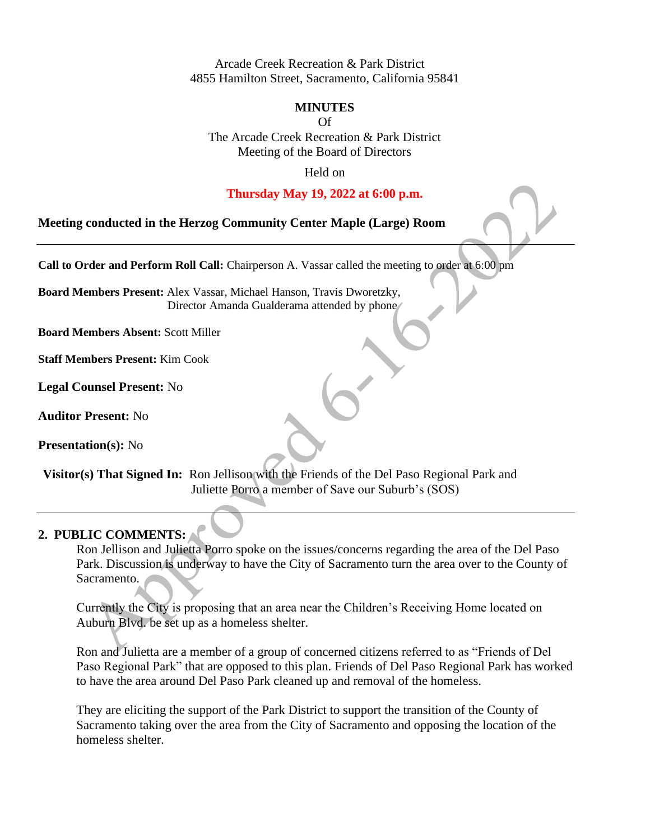Arcade Creek Recreation & Park District 4855 Hamilton Street, Sacramento, California 95841

#### **MINUTES**

Of

The Arcade Creek Recreation & Park District Meeting of the Board of Directors

Held on

#### **Thursday May 19, 2022 at 6:00 p.m.**

**Meeting conducted in the Herzog Community Center Maple (Large) Room**

**Call to Order and Perform Roll Call:** Chairperson A. Vassar called the meeting to order at 6:00 pm

**Board Members Present:** Alex Vassar, Michael Hanson, Travis Dworetzky, Director Amanda Gualderama attended by phone/

**Board Members Absent:** Scott Miller

**Staff Members Present:** Kim Cook

**Legal Counsel Present:** No

**Auditor Present:** No

**Presentation(s):** No

**Visitor(s) That Signed In:** Ron Jellison with the Friends of the Del Paso Regional Park and Juliette Porro a member of Save our Suburb's (SOS)

## **2. PUBLIC COMMENTS:**

Ron Jellison and Julietta Porro spoke on the issues/concerns regarding the area of the Del Paso Park. Discussion is underway to have the City of Sacramento turn the area over to the County of Sacramento.

Currently the City is proposing that an area near the Children's Receiving Home located on Auburn Blvd. be set up as a homeless shelter.

Ron and Julietta are a member of a group of concerned citizens referred to as "Friends of Del Paso Regional Park" that are opposed to this plan. Friends of Del Paso Regional Park has worked to have the area around Del Paso Park cleaned up and removal of the homeless.

They are eliciting the support of the Park District to support the transition of the County of Sacramento taking over the area from the City of Sacramento and opposing the location of the homeless shelter.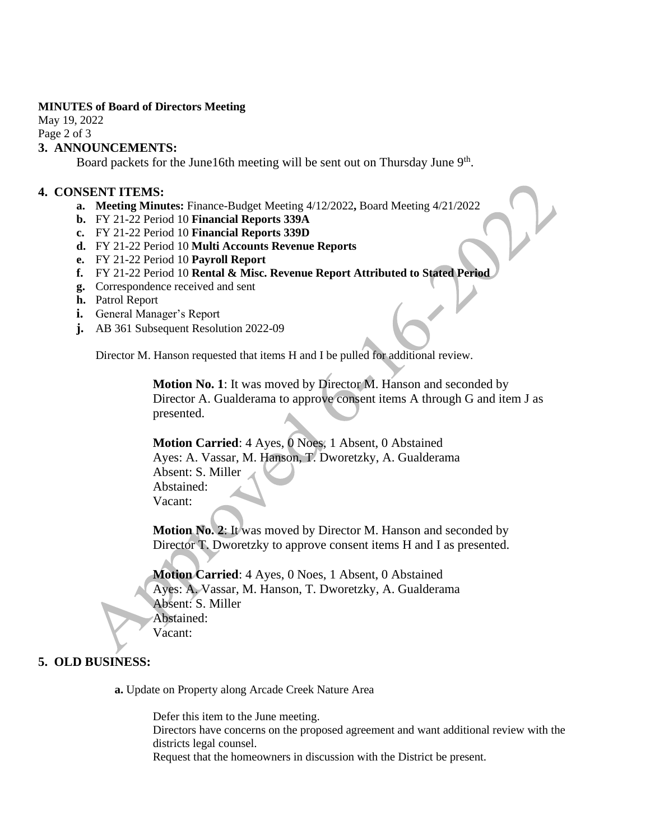#### **MINUTES of Board of Directors Meeting**

May 19, 2022 Page 2 of 3

### **3. ANNOUNCEMENTS:**

Board packets for the June16th meeting will be sent out on Thursday June 9<sup>th</sup>.

#### **4. CONSENT ITEMS:**

- **a. Meeting Minutes:** Finance-Budget Meeting 4/12/2022**,** Board Meeting 4/21/2022
- **b.** FY 21-22 Period 10 **Financial Reports 339A**
- **c.** FY 21-22 Period 10 **Financial Reports 339D**
- **d.** FY 21-22 Period 10 **Multi Accounts Revenue Reports**
- **e.** FY 21-22 Period 10 **Payroll Report**
- **f.** FY 21-22 Period 10 **Rental & Misc. Revenue Report Attributed to Stated Period**
- **g.** Correspondence received and sent
- **h.** Patrol Report
- **i.** General Manager's Report
- **j.** AB 361 Subsequent Resolution 2022-09

Director M. Hanson requested that items H and I be pulled for additional review.

**Motion No. 1**: It was moved by Director M. Hanson and seconded by Director A. Gualderama to approve consent items A through G and item J as presented.

**Motion Carried**: 4 Ayes, 0 Noes, 1 Absent, 0 Abstained Ayes: A. Vassar, M. Hanson, T. Dworetzky, A. Gualderama Absent: S. Miller Abstained: Vacant:

**Motion No. 2**: It was moved by Director M. Hanson and seconded by Director T. Dworetzky to approve consent items H and I as presented.

**Motion Carried**: 4 Ayes, 0 Noes, 1 Absent, 0 Abstained Ayes: A. Vassar, M. Hanson, T. Dworetzky, A. Gualderama Absent: S. Miller Abstained: Vacant:

# **5. OLD BUSINESS:**

**a.** Update on Property along Arcade Creek Nature Area

Defer this item to the June meeting. Directors have concerns on the proposed agreement and want additional review with the districts legal counsel. Request that the homeowners in discussion with the District be present.